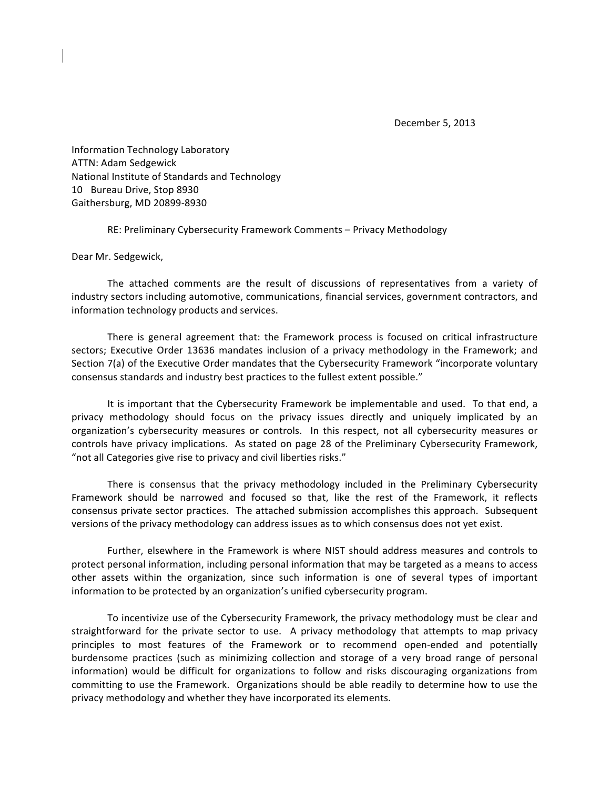December 5, 2013

Information Technology Laboratory ATTN: Adam Sedgewick National Institute of Standards and Technology 10 Bureau Drive, Stop 8930 Gaithersburg, MD 20899-8930

RE: Preliminary Cybersecurity Framework Comments – Privacy Methodology

Dear Mr. Sedgewick,

The attached comments are the result of discussions of representatives from a variety of industry sectors including automotive, communications, financial services, government contractors, and information technology products and services.

There is general agreement that: the Framework process is focused on critical infrastructure sectors; Executive Order 13636 mandates inclusion of a privacy methodology in the Framework; and Section 7(a) of the Executive Order mandates that the Cybersecurity Framework "incorporate voluntary consensus standards and industry best practices to the fullest extent possible."

It is important that the Cybersecurity Framework be implementable and used. To that end, a privacy methodology should focus on the privacy issues directly and uniquely implicated by an organization's cybersecurity measures or controls. In this respect, not all cybersecurity measures or controls have privacy implications. As stated on page 28 of the Preliminary Cybersecurity Framework, "not all Categories give rise to privacy and civil liberties risks."

There is consensus that the privacy methodology included in the Preliminary Cybersecurity Framework should be narrowed and focused so that, like the rest of the Framework, it reflects consensus private sector practices. The attached submission accomplishes this approach. Subsequent versions of the privacy methodology can address issues as to which consensus does not yet exist.

Further, elsewhere in the Framework is where NIST should address measures and controls to protect personal information, including personal information that may be targeted as a means to access other assets within the organization, since such information is one of several types of important information to be protected by an organization's unified cybersecurity program.

To incentivize use of the Cybersecurity Framework, the privacy methodology must be clear and straightforward for the private sector to use. A privacy methodology that attempts to map privacy principles to most features of the Framework or to recommend open-ended and potentially burdensome practices (such as minimizing collection and storage of a very broad range of personal information) would be difficult for organizations to follow and risks discouraging organizations from committing to use the Framework. Organizations should be able readily to determine how to use the privacy methodology and whether they have incorporated its elements.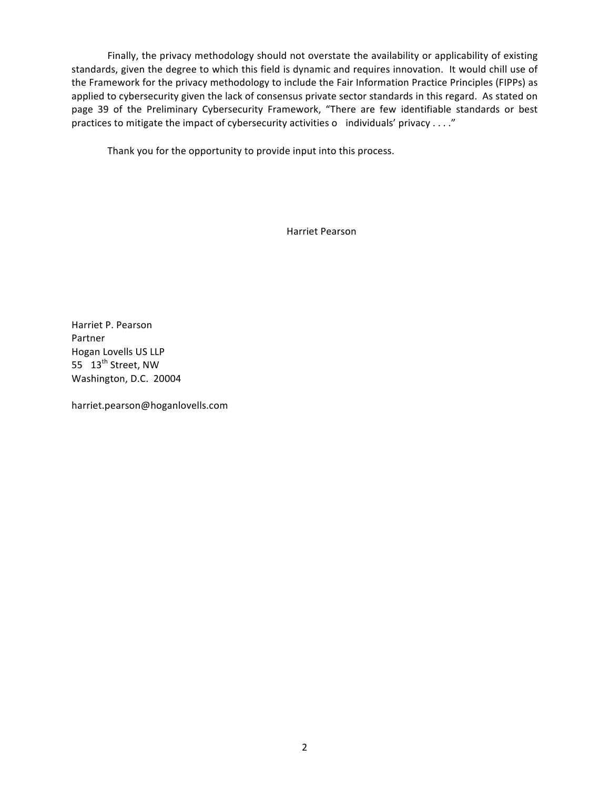Finally, the privacy methodology should not overstate the availability or applicability of existing standards, given the degree to which this field is dynamic and requires innovation. It would chill use of the Framework for the privacy methodology to include the Fair Information Practice Principles (FIPPs) as applied to cybersecurity given the lack of consensus private sector standards in this regard. As stated on page 39 of the Preliminary Cybersecurity Framework, "There are few identifiable standards or best practices to mitigate the impact of cybersecurity activities o individuals' privacy ...."

Thank you for the opportunity to provide input into this process.

Harriet Pearson

Harriet P. Pearson Partner Hogan Lovells US LLP 55 13<sup>th</sup> Street, NW Washington, D.C. 20004

harriet.pearson@hoganlovells.com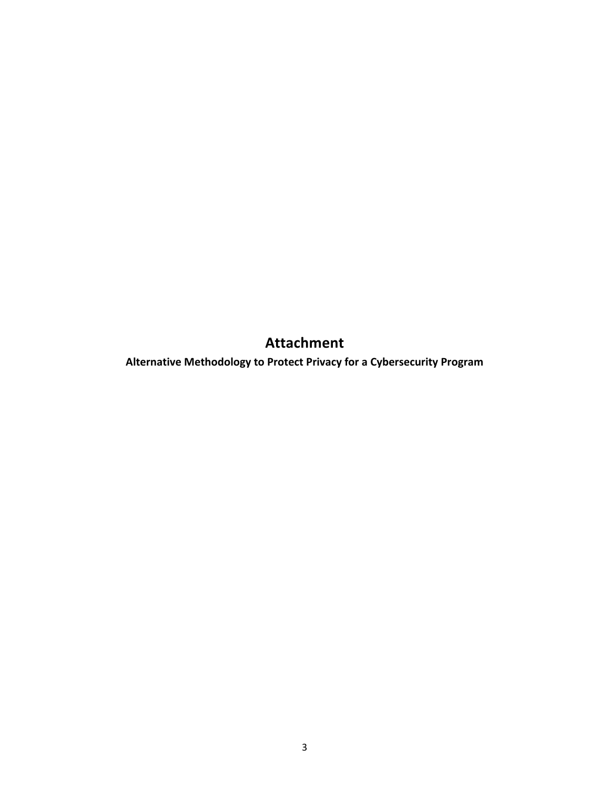**Attachment**

**Alternative Methodology to Protect Privacy for a Cybersecurity Program**